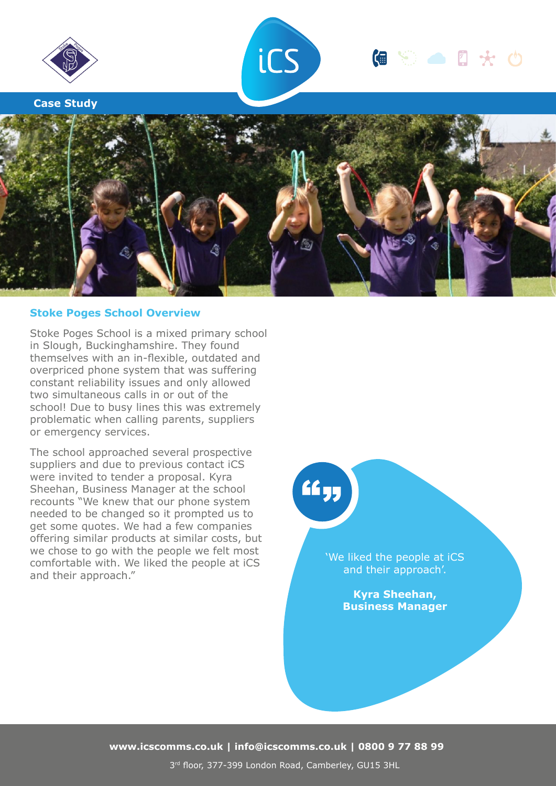

**Case Study**



# 偏等面显光的



# **Stoke Poges School Overview**

Stoke Poges School is a mixed primary school in Slough, Buckinghamshire. They found themselves with an in-flexible, outdated and overpriced phone system that was suffering constant reliability issues and only allowed two simultaneous calls in or out of the school! Due to busy lines this was extremely problematic when calling parents, suppliers or emergency services.

The school approached several prospective suppliers and due to previous contact iCS were invited to tender a proposal. Kyra Sheehan, Business Manager at the school recounts "We knew that our phone system needed to be changed so it prompted us to get some quotes. We had a few companies offering similar products at similar costs, but we chose to go with the people we felt most comfortable with. We liked the people at iCS and their approach."

 $66<sub>55</sub>$ 

'We liked the people at iCS and their approach'.

> **Kyra Sheehan, Business Manager**

**www.icscomms.co.uk | info@icscomms.co.uk | 0800 9 77 88 99**

3rd floor, 377-399 London Road, Camberley, GU15 3HL